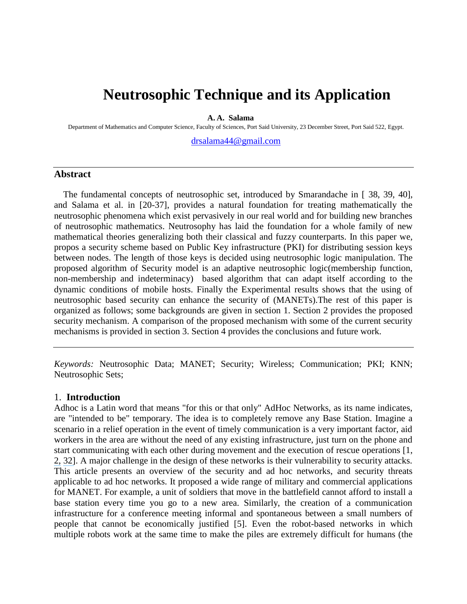# **Neutrosophic Technique and its Application**

**A. A. Salama**

Department of Mathematics and Computer Science, Faculty of Sciences, Port Said University, 23 December Street, Port Said 522, Egypt.

[drsalama44@gmail.com](mailto:drsalama44@gmail.com)

#### **Abstract**

The fundamental concepts of neutrosophic set, introduced by Smarandache in [ 38, 39, 40], and Salama et al. in [20-37], provides a natural foundation for treating mathematically the neutrosophic phenomena which exist pervasively in our real world and for building new branches of neutrosophic mathematics. Neutrosophy has laid the foundation for a whole family of new mathematical theories generalizing both their classical and fuzzy counterparts. In this paper we, propos a security scheme based on Public Key infrastructure (PKI) for distributing session keys between nodes. The length of those keys is decided using neutrosophic logic manipulation. The proposed algorithm of Security model is an adaptive neutrosophic logic(membership function, non-membership and indeterminacy) based algorithm that can adapt itself according to the dynamic conditions of mobile hosts. Finally the Experimental results shows that the using of neutrosophic based security can enhance the security of (MANETs).The rest of this paper is organized as follows; some backgrounds are given in section 1. Section 2 provides the proposed security mechanism. A comparison of the proposed mechanism with some of the current security mechanisms is provided in section 3. Section 4 provides the conclusions and future work.

*Keywords:* Neutrosophic Data; MANET; Security; Wireless; Communication; PKI; KNN; Neutrosophic Sets;

#### 1. **Introduction**

Adhoc is a Latin word that means "for this or that only" AdHoc Networks, as its name indicates, are "intended to be" temporary. The idea is to completely remove any Base Station. Imagine a scenario in a relief operation in the event of timely communication is a very important factor, aid workers in the area are without the need of any existing infrastructure, just turn on the phone and start communicating with each other during movement and the execution of rescue operations [1, [2,](https://www.researchgate.net/publication/272719900_Security_in_MANET_based_on_PKI_using_fuzzy_function?el=1_x_8&enrichId=rgreq-75a527b72c5892e66cbee1a2beee8bfe-XXX&enrichSource=Y292ZXJQYWdlOzI4NDAyODIxODtBUzoyOTY3NDk5MzY3MjYwMTlAMTQ0Nzc2MjEwNjg4OQ==) [32\]](https://www.researchgate.net/publication/277140678_A_Novel_Model_for_Implementing_Security_over_Mobile_Ad-hoc_Networks_using_Intuitionistic_Fuzzy_Function?el=1_x_8&enrichId=rgreq-75a527b72c5892e66cbee1a2beee8bfe-XXX&enrichSource=Y292ZXJQYWdlOzI4NDAyODIxODtBUzoyOTY3NDk5MzY3MjYwMTlAMTQ0Nzc2MjEwNjg4OQ==). A major challenge in the design of these networks is their vulnerability to security attacks. This article presents an overview of the security and ad hoc networks, and security threats applicable to ad hoc networks. It proposed a wide range of military and commercial applications for MANET. For example, a unit of soldiers that move in the battlefield cannot afford to install a base station every time you go to a new area. Similarly, the creation of a communication infrastructure for a conference meeting informal and spontaneous between a small numbers of people that cannot be economically justified [5]. Even the robot-based networks in which multiple robots work at the same time to make the piles are extremely difficult for humans (the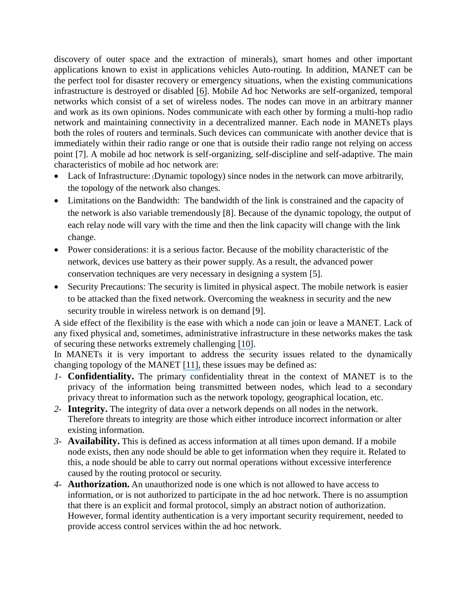discovery of outer space and the extraction of minerals), smart homes and other important applications known to exist in applications vehicles Auto-routing. In addition, MANET can be the perfect tool for disaster recovery or emergency situations, when the existing communications infrastructure is destroyed or disabled [\[6\]](https://www.researchgate.net/publication/247931318_Cryptography_and_Network_Security_Principles_and_Practice_4E?el=1_x_8&enrichId=rgreq-75a527b72c5892e66cbee1a2beee8bfe-XXX&enrichSource=Y292ZXJQYWdlOzI4NDAyODIxODtBUzoyOTY3NDk5MzY3MjYwMTlAMTQ0Nzc2MjEwNjg4OQ==). Mobile Ad hoc Networks are self-organized, temporal networks which consist of a set of wireless nodes. The nodes can move in an arbitrary manner and work as its own opinions. Nodes communicate with each other by forming a multi-hop radio network and maintaining connectivity in a decentralized manner. Each node in MANETs plays both the roles of routers and terminals. Such devices can communicate with another device that is immediately within their radio range or one that is outside their radio range not relying on access point [7]. A mobile ad hoc network is self-organizing, self-discipline and self-adaptive. The main characteristics of mobile ad hoc network are:

- Lack of Infrastructure: (Dynamic topology) since nodes in the network can move arbitrarily, the topology of the network also changes.
- Limitations on the Bandwidth: The bandwidth of the link is constrained and the capacity of the network is also variable tremendously [8]. Because of the dynamic topology, the output of each relay node will vary with the time and then the link capacity will change with the link change.
- Power considerations: it is a serious factor. Because of the mobility characteristic of the network, devices use battery as their power supply. As a result, the advanced power conservation techniques are very necessary in designing a system [5].
- Security Precautions: The security is limited in physical aspect. The mobile network is easier to be attacked than the fixed network. Overcoming the weakness in security and the new security trouble in wireless network is on demand [9].

A side effect of the flexibility is the ease with which a node can join or leave a MANET. Lack of any fixed physical and, sometimes, administrative infrastructure in these networks makes the task of securing these networks extremely challenging [\[10\]](https://www.researchgate.net/publication/4295402_Trust_Integrated_Cooperation_Architecture_for_Mobile_Ad-hoc_Networks?el=1_x_8&enrichId=rgreq-75a527b72c5892e66cbee1a2beee8bfe-XXX&enrichSource=Y292ZXJQYWdlOzI4NDAyODIxODtBUzoyOTY3NDk5MzY3MjYwMTlAMTQ0Nzc2MjEwNjg4OQ==).

In MANETs it is very important to address the security issues related to the dynamically changing topology of the MANET [\[11\],](https://www.researchgate.net/publication/228638653_Reputation_and_trust-based_systems_for_ad_hoc_and_sensor_networks?el=1_x_8&enrichId=rgreq-75a527b72c5892e66cbee1a2beee8bfe-XXX&enrichSource=Y292ZXJQYWdlOzI4NDAyODIxODtBUzoyOTY3NDk5MzY3MjYwMTlAMTQ0Nzc2MjEwNjg4OQ==) these issues may be defined as:

- *1-* **Confidentiality.** The primary confidentiality threat in the context of MANET is to the privacy of the information being transmitted between nodes, which lead to a secondary privacy threat to information such as the network topology, geographical location, etc.
- *2-* **Integrity.** The integrity of data over a network depends on all nodes in the network. Therefore threats to integrity are those which either introduce incorrect information or alter existing information.
- *3-* **Availability.** This is defined as access information at all times upon demand. If a mobile node exists, then any node should be able to get information when they require it. Related to this, a node should be able to carry out normal operations without excessive interference caused by the routing protocol or security.
- *4-* **Authorization.** An unauthorized node is one which is not allowed to have access to information, or is not authorized to participate in the ad hoc network. There is no assumption that there is an explicit and formal protocol, simply an abstract notion of authorization. However, formal identity authentication is a very important security requirement, needed to provide access control services within the ad hoc network.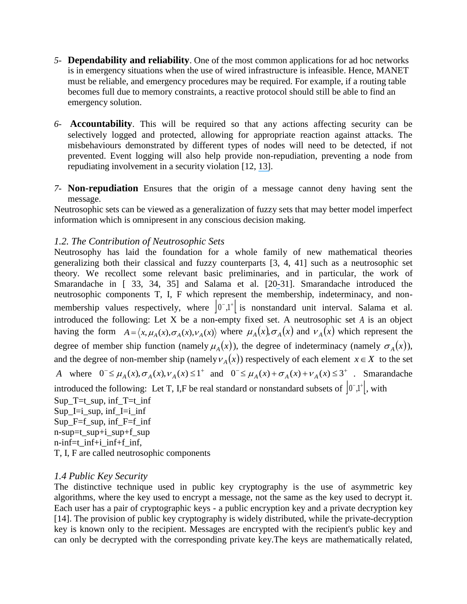- *5-* **Dependability and reliability**. One of the most common applications for ad hoc networks is in emergency situations when the use of wired infrastructure is infeasible. Hence, MANET must be reliable, and emergency procedures may be required. For example, if a routing table becomes full due to memory constraints, a reactive protocol should still be able to find an emergency solution.
- *6-* **Accountability**. This will be required so that any actions affecting security can be selectively logged and protected, allowing for appropriate reaction against attacks. The misbehaviours demonstrated by different types of nodes will need to be detected, if not prevented. Event logging will also help provide non-repudiation, preventing a node from repudiating involvement in a security violation [12, [13\]](https://www.researchgate.net/publication/220640612_Information_Theoretic_Framework_of_Trust_modeling_and_evaluation_for_ad_hoc_networks?el=1_x_8&enrichId=rgreq-75a527b72c5892e66cbee1a2beee8bfe-XXX&enrichSource=Y292ZXJQYWdlOzI4NDAyODIxODtBUzoyOTY3NDk5MzY3MjYwMTlAMTQ0Nzc2MjEwNjg4OQ==).
- *7-* **Non-repudiation** Ensures that the origin of a message cannot deny having sent the message.

Neutrosophic sets can be viewed as a generalization of fuzzy sets that may better model imperfect information which is omnipresent in any conscious decision making.

# *1.2. The Contribution of Neutrosophic Sets*

Neutrosophy has laid the foundation for a whole family of new mathematical theories generalizing both their classical and fuzzy counterparts [3, 4, 41] such as a neutrosophic set theory. We recollect some relevant basic preliminaries, and in particular, the work of Smarandache in [ 33, 34, 35] and Salama et al. [2[0-](https://www.researchgate.net/publication/265802778_Neutrosophic_Set_and_Neutrosophic_Topological_Spaces?el=1_x_8&enrichId=rgreq-75a527b72c5892e66cbee1a2beee8bfe-XXX&enrichSource=Y292ZXJQYWdlOzI4NDAyODIxODtBUzoyOTY3NDk5MzY3MjYwMTlAMTQ0Nzc2MjEwNjg4OQ==)31]. Smarandache introduced the neutrosophic components T, I, F which represent the membership, indeterminacy, and nonmembership values respectively, where  $|0,1^+|$  is nonstandard unit interval. Salama et al. introduced the following: Let X be a non-empty fixed set. A neutrosophic set *A* is an object having the form  $A = \langle x, \mu_A(x), \sigma_A(x), \nu_A(x) \rangle$  where  $\mu_A(x), \sigma_A(x)$  and  $\nu_A(x)$  which represent the degree of member ship function (namely  $\mu_A(x)$ ), the degree of indeterminacy (namely  $\sigma_A(x)$ ), and the degree of non-member ship (namely  $v_A(x)$ ) respectively of each element  $x \in X$  to the set

*A* where  $0^- \le \mu_A(x), \sigma_A(x), \nu_A(x) \le 1^+$  and  $0^- \le \mu_A(x) + \sigma_A(x) + \nu_A(x) \le 3^+$ . Smarandache introduced the following: Let T, I,F be real standard or nonstandard subsets of  $[0^{\circ},1^{\circ}]$ , with

 $Sup_T=t$ \_sup,  $inf_T=t$ \_inf  $Sup$ \_I=i\_sup, inf\_I=i\_inf  $Sup_F=f$ \_sup, inf\_F= $f$ \_inf n-sup=t\_sup+i\_sup+f\_sup n-inf=t\_inf+i\_inf+f\_inf, T, I, F are called neutrosophic components

# *1.4 Public Key Security*

The distinctive technique used in public key cryptography is the use of asymmetric key algorithms, where the key used to encrypt a message, not the same as the key used to decrypt it. Each user has a pair of cryptographic keys - a public encryption key and a private decryption key [14]. The provision of public key cryptography is widely distributed, while the private-decryption key is known only to the recipient. Messages are encrypted with the recipient's public key and can only be decrypted with the corresponding private key.The keys are mathematically related,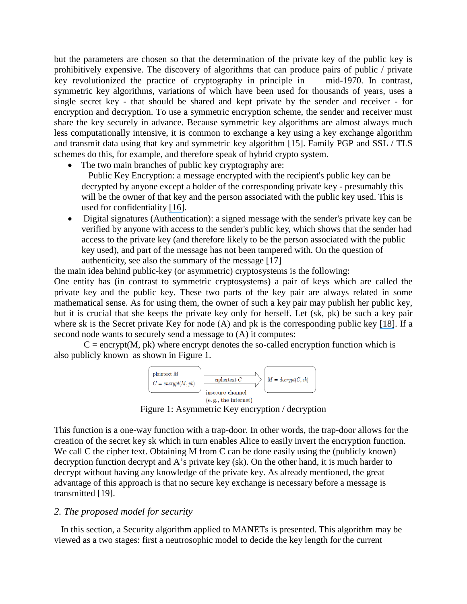but the parameters are chosen so that the determination of the private key of the public key is prohibitively expensive. The discovery of algorithms that can produce pairs of public / private key revolutionized the practice of cryptography in principle in mid-1970. In contrast, symmetric key algorithms, variations of which have been used for thousands of years, uses a single secret key - that should be shared and kept private by the sender and receiver - for encryption and decryption. To use a symmetric encryption scheme, the sender and receiver must share the key securely in advance. Because symmetric key algorithms are almost always much less computationally intensive, it is common to exchange a key using a key exchange algorithm and transmit data using that key and symmetric key algorithm [15]. Family PGP and SSL / TLS schemes do this, for example, and therefore speak of hybrid crypto system.

• The two main branches of public key cryptography are:

Public Key Encryption: a message encrypted with the recipient's public key can be decrypted by anyone except a holder of the corresponding private key - presumably this will be the owner of that key and the person associated with the public key used. This is used for confidentiality [\[16\]](https://www.researchgate.net/publication/224316883_Computer_experiments_with_a_parallel_clonal_selection_algorithm_for_the_Graph_Coloring_Problem?el=1_x_8&enrichId=rgreq-75a527b72c5892e66cbee1a2beee8bfe-XXX&enrichSource=Y292ZXJQYWdlOzI4NDAyODIxODtBUzoyOTY3NDk5MzY3MjYwMTlAMTQ0Nzc2MjEwNjg4OQ==).

 Digital signatures (Authentication): a signed message with the sender's private key can be verified by anyone with access to the sender's public key, which shows that the sender had access to the private key (and therefore likely to be the person associated with the public key used), and part of the message has not been tampered with. On the question of authenticity, see also the summary of the message [17]

the main idea behind public-key (or asymmetric) cryptosystems is the following:

One entity has (in contrast to symmetric cryptosystems) a pair of keys which are called the private key and the public key. These two parts of the key pair are always related in some mathematical sense. As for using them, the owner of such a key pair may publish her public key, but it is crucial that she keeps the private key only for herself. Let (sk, pk) be such a key pair where sk is the Secret private Key for node (A) and pk is the corresponding public key [\[18\]](https://www.researchgate.net/publication/50282870_Secure_Clustering_and_Symmetric_Key_Establishment_in_Heterogeneous_Wireless_Sensor_Networks?el=1_x_8&enrichId=rgreq-75a527b72c5892e66cbee1a2beee8bfe-XXX&enrichSource=Y292ZXJQYWdlOzI4NDAyODIxODtBUzoyOTY3NDk5MzY3MjYwMTlAMTQ0Nzc2MjEwNjg4OQ==). If a second node wants to securely send a message to (A) it computes:

 $C =$  encrypt(M, pk) where encrypt denotes the so-called encryption function which is also publicly known as shown in Figure 1.



Figure 1: Asymmetric Key encryption / decryption

This function is a one-way function with a trap-door. In other words, the trap-door allows for the creation of the secret key sk which in turn enables Alice to easily invert the encryption function. We call C the cipher text. Obtaining M from C can be done easily using the (publicly known) decryption function decrypt and A's private key (sk). On the other hand, it is much harder to decrypt without having any knowledge of the private key. As already mentioned, the great advantage of this approach is that no secure key exchange is necessary before a message is transmitted [19].

#### *2. The proposed model for security*

 In this section, a Security algorithm applied to MANETs is presented. This algorithm may be viewed as a two stages: first a neutrosophic model to decide the key length for the current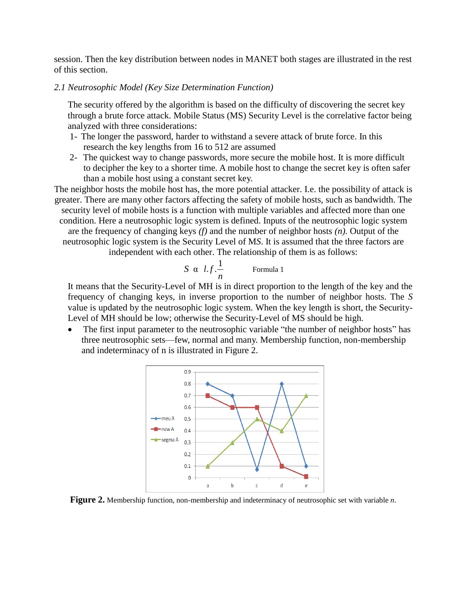session. Then the key distribution between nodes in MANET both stages are illustrated in the rest of this section.

#### *2.1 Neutrosophic Model (Key Size Determination Function)*

The security offered by the algorithm is based on the difficulty of discovering the secret key through a brute force attack. Mobile Status (MS) Security Level is the correlative factor being analyzed with three considerations:

- 1- The longer the password, harder to withstand a severe attack of brute force. In this research the key lengths from 16 to 512 are assumed
- 2- The quickest way to change passwords, more secure the mobile host. It is more difficult to decipher the key to a shorter time. A mobile host to change the secret key is often safer than a mobile host using a constant secret key.

The neighbor hosts the mobile host has, the more potential attacker. I.e. the possibility of attack is greater. There are many other factors affecting the safety of mobile hosts, such as bandwidth. The security level of mobile hosts is a function with multiple variables and affected more than one condition. Here a neutrosophic logic system is defined. Inputs of the neutrosophic logic system are the frequency of changing keys *(f)* and the number of neighbor hosts *(n)*. Output of the neutrosophic logic system is the Security Level of M*S*. It is assumed that the three factors are

independent with each other. The relationship of them is as follows:

$$
S \ \alpha \ \ l.f.\frac{1}{n} \qquad \qquad \text{Formula 1}
$$

It means that the Security-Level of MH is in direct proportion to the length of the key and the frequency of changing keys, in inverse proportion to the number of neighbor hosts. The *S*  value is updated by the neutrosophic logic system. When the key length is short, the Security-Level of MH should be low; otherwise the Security-Level of MS should be high.

The first input parameter to the neutrosophic variable "the number of neighbor hosts" has three neutrosophic sets—few, normal and many. Membership function, non-membership and indeterminacy of n is illustrated in Figure 2.



**Figure 2.** Membership function, non-membership and indeterminacy of neutrosophic set with variable *n*.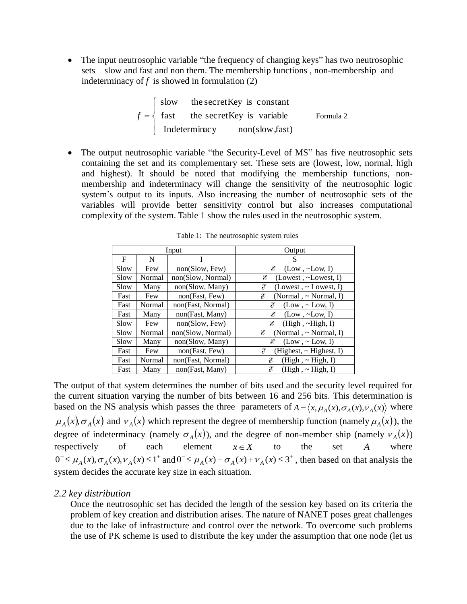The input neutrosophic variable "the frequency of changing keys" has two neutrosophic sets—slow and fast and non them. The membership functions , non-membership and indeterminacy of  $f$  is showed in formulation  $(2)$ 

$$
f = \begin{cases} \text{slow} & \text{the secretKey is constant} \\ \text{fast} & \text{the secretKey is variable} \\ \text{Indeterminacy} & \text{non(slow, fast)} \end{cases}
$$
 Formula 2

The output neutrosophic variable "the Security-Level of MS" has five neutrosophic sets containing the set and its complementary set. These sets are (lowest, low, normal, high and highest). It should be noted that modifying the membership functions, nonmembership and indeterminacy will change the sensitivity of the neutrosophic logic system's output to its inputs. Also increasing the number of neutrosophic sets of the variables will provide better sensitivity control but also increases computational complexity of the system. Table 1 show the rules used in the neutrosophic system.

|      |        | Input             | Output                          |  |  |  |  |
|------|--------|-------------------|---------------------------------|--|--|--|--|
| F    | N      |                   | S                               |  |  |  |  |
| Slow | Few    | non(Slow, Few)    | E<br>$(Low, \sim Low, I)$       |  |  |  |  |
| Slow | Normal | non(Slow, Normal) | (Lowest, $\sim$ Lowest, I)<br>E |  |  |  |  |
| Slow | Many   | non(Slow, Many)   | (Lowest, ~Lowest, I)<br>E       |  |  |  |  |
| Fast | Few    | non(Fast, Few)    | E<br>(Normal, $\sim$ Normal, I) |  |  |  |  |
| Fast | Normal | non(Fast, Normal) | É<br>(Low, ~Low, I)             |  |  |  |  |
| Fast | Many   | non(Fast, Many)   | $(Low, \sim Low, I)$<br>E       |  |  |  |  |
| Slow | Few    | non(Slow, Few)    | E<br>(High, ~High, I)           |  |  |  |  |
| Slow | Normal | non(Slow, Normal) | (Normal, $\sim$ Normal, I)<br>E |  |  |  |  |
| Slow | Many   | non(Slow, Many)   | E<br>(Low, ~Low, I)             |  |  |  |  |
| Fast | Few    | non(Fast, Few)    | (Highest, ~Highest, I)<br>E     |  |  |  |  |
| Fast | Normal | non(Fast, Normal) | E<br>(High, ~ High, I)          |  |  |  |  |
| Fast | Many   | non(Fast, Many)   | E<br>(High, ~High, I)           |  |  |  |  |

Table 1: The neutrosophic system rules

The output of that system determines the number of bits used and the security level required for the current situation varying the number of bits between 16 and 256 bits. This determination is based on the NS analysis whish passes the three parameters of  $A = \langle x, \mu_A(x), \sigma_A(x), \nu_A(x) \rangle$  where  $\mu_A(x), \sigma_A(x)$  and  $v_A(x)$  which represent the degree of membership function (namely  $\mu_A(x)$ ), the degree of indeterminacy (namely  $\sigma_A(x)$ ), and the degree of non-member ship (namely  $v_A(x)$ ) respectively of each element  $x \in X$  to the set *A* where  $0 \leq \mu_A(x), \sigma_A(x), \nu_A(x) \leq 1^+$  and  $0 \leq \mu_A(x) + \sigma_A(x) + \nu_A(x) \leq 3^+$ , then based on that analysis the system decides the accurate key size in each situation.

# *2.2 key distribution*

Once the neutrosophic set has decided the length of the session key based on its criteria the problem of key creation and distribution arises. The nature of NANET poses great challenges due to the lake of infrastructure and control over the network. To overcome such problems the use of PK scheme is used to distribute the key under the assumption that one node (let us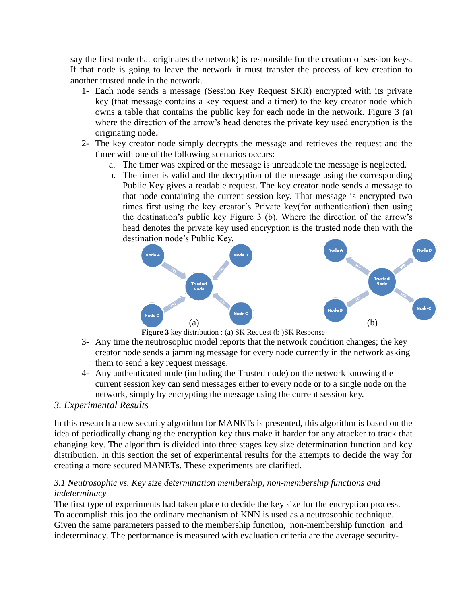say the first node that originates the network) is responsible for the creation of session keys. If that node is going to leave the network it must transfer the process of key creation to another trusted node in the network.

- 1- Each node sends a message (Session Key Request SKR) encrypted with its private key (that message contains a key request and a timer) to the key creator node which owns a table that contains the public key for each node in the network. Figure 3 (a) where the direction of the arrow's head denotes the private key used encryption is the originating node.
- 2- The key creator node simply decrypts the message and retrieves the request and the timer with one of the following scenarios occurs:
	- a. The timer was expired or the message is unreadable the message is neglected.
	- b. The timer is valid and the decryption of the message using the corresponding Public Key gives a readable request. The key creator node sends a message to that node containing the current session key. That message is encrypted two times first using the key creator's Private key(for authentication) then using the destination's public key Figure 3 (b). Where the direction of the arrow's head denotes the private key used encryption is the trusted node then with the destination node's Public Key.





- 3- Any time the neutrosophic model reports that the network condition changes; the key creator node sends a jamming message for every node currently in the network asking them to send a key request message.
- 4- Any authenticated node (including the Trusted node) on the network knowing the current session key can send messages either to every node or to a single node on the network, simply by encrypting the message using the current session key.

# *3. Experimental Results*

In this research a new security algorithm for MANETs is presented, this algorithm is based on the idea of periodically changing the encryption key thus make it harder for any attacker to track that changing key. The algorithm is divided into three stages key size determination function and key distribution. In this section the set of experimental results for the attempts to decide the way for creating a more secured MANETs. These experiments are clarified.

### *3.1 Neutrosophic vs. Key size determination membership, non-membership functions and indeterminacy*

The first type of experiments had taken place to decide the key size for the encryption process. To accomplish this job the ordinary mechanism of KNN is used as a neutrosophic technique. Given the same parameters passed to the membership function, non-membership function and indeterminacy. The performance is measured with evaluation criteria are the average security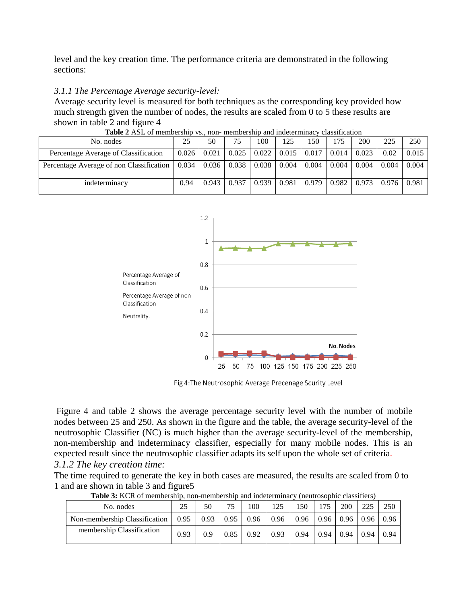level and the key creation time. The performance criteria are demonstrated in the following sections:

#### *3.1.1 The Percentage Average security-level:*

Average security level is measured for both techniques as the corresponding key provided how much strength given the number of nodes, the results are scaled from 0 to 5 these results are shown in table 2 and figure 4

| No. nodes                                |                   | 50    | 75    | 100   | 125   | 150                   | 175   | 200   | 225   | 250   |
|------------------------------------------|-------------------|-------|-------|-------|-------|-----------------------|-------|-------|-------|-------|
| Percentage Average of Classification     | $0.026 \pm 0.021$ |       | 0.025 | 0.022 |       | $0.015 \,   \, 0.017$ | 0.014 | 0.023 | 0.02  | 0.015 |
| Percentage Average of non Classification | 0.034             | 0.036 | 0.038 | 0.038 | 0.004 | 0.004                 | 0.004 | 0.004 | 0.004 | 0.004 |
| indeterminacy                            | 0.94              | 0.943 | 0.937 | 0.939 | 0.981 | 0.979                 | 0.982 | 0.973 | 0.976 | 0.981 |

**Table 2** ASL of membership vs., non- membership and indeterminacy classification



Fig 4: The Neutrosophic Average Precenage Scurity Level

Figure 4 and table 2 shows the average percentage security level with the number of mobile nodes between 25 and 250. As shown in the figure and the table, the average security-level of the neutrosophic Classifier (NC) is much higher than the average security-level of the membership, non-membership and indeterminacy classifier, especially for many mobile nodes. This is an expected result since the neutrosophic classifier adapts its self upon the whole set of criteria. *3.1.2 The key creation time:*

The time required to generate the key in both cases are measured, the results are scaled from 0 to 1 and are shown in table 3 and figure5

| No. nodes                     | 25   | 50   | 75   | 100  | 125  | 150  | 175  | 200  | 225  | 250  |
|-------------------------------|------|------|------|------|------|------|------|------|------|------|
| Non-membership Classification | 0.95 | 0.93 | 0.95 | 0.96 | 0.96 | 0.96 | 0.96 | 0.96 | 0.96 | 0.96 |
| membership Classification     | 0.93 | 0.9  | 0.85 | 0.92 | 0.93 | 0.94 | 0.94 | 0.94 | 0.94 | 0.94 |

**Table 3:** KCR of membership, non-membership and indeterminacy (neutrosophic classifiers)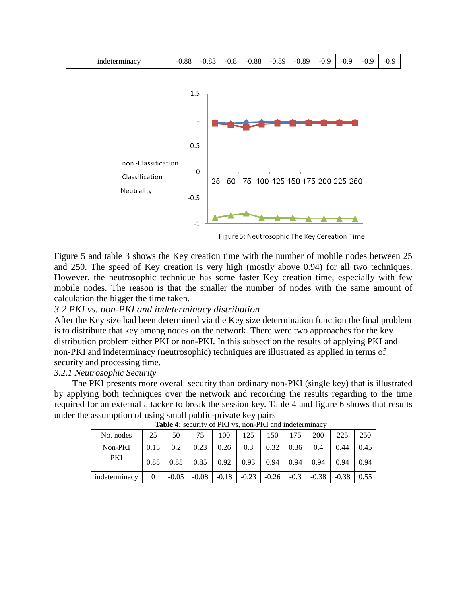![](_page_8_Figure_0.jpeg)

Figure 5: Neutrosophic The Key Cereation Time

Figure 5 and table 3 shows the Key creation time with the number of mobile nodes between 25 and 250. The speed of Key creation is very high (mostly above 0.94) for all two techniques. However, the neutrosophic technique has some faster Key creation time, especially with few mobile nodes. The reason is that the smaller the number of nodes with the same amount of calculation the bigger the time taken.

#### *3.2 PKI vs. non-PKI and indeterminacy distribution*

After the Key size had been determined via the Key size determination function the final problem is to distribute that key among nodes on the network. There were two approaches for the key distribution problem either PKI or non-PKI. In this subsection the results of applying PKI and non-PKI and indeterminacy (neutrosophic) techniques are illustrated as applied in terms of security and processing time.

#### *3.2.1 Neutrosophic Security*

The PKI presents more overall security than ordinary non-PKI (single key) that is illustrated by applying both techniques over the network and recording the results regarding to the time required for an external attacker to break the session key. Table 4 and figure 6 shows that results under the assumption of using small public-private key pairs

| <b>THERE To because</b> of the volume in the and indetermined |          |         |         |         |         |         |        |         |         |      |
|---------------------------------------------------------------|----------|---------|---------|---------|---------|---------|--------|---------|---------|------|
| No. nodes                                                     | 25       | 50      | 75      | 100     | 125     | 150     | 175    | 200     | 225     | 250  |
| Non-PKI                                                       | 0.15     | 0.2     | 0.23    | 0.26    | 0.3     | 0.32    | 0.36   | 0.4     | 0.44    | 0.45 |
| <b>PKI</b>                                                    | 0.85     | 0.85    | 0.85    | 0.92    | 0.93    | 0.94    | 0.94   | 0.94    | 0.94    | 0.94 |
| indeterminacy                                                 | $\Omega$ | $-0.05$ | $-0.08$ | $-0.18$ | $-0.23$ | $-0.26$ | $-0.3$ | $-0.38$ | $-0.38$ | 0.55 |

**Table 4:** security of PKI vs, non-PKI and indeterminacy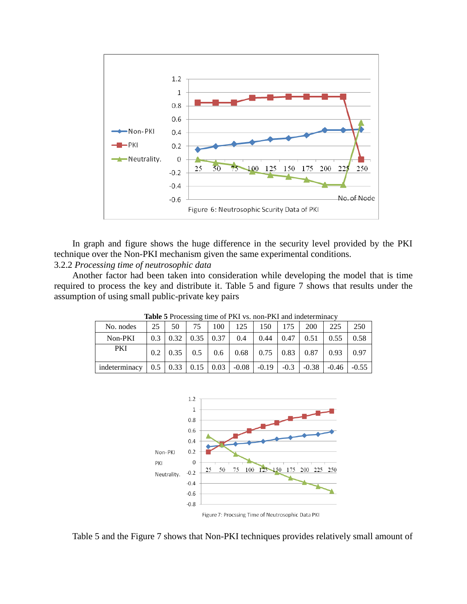![](_page_9_Figure_0.jpeg)

In graph and figure shows the huge difference in the security level provided by the PKI technique over the Non-PKI mechanism given the same experimental conditions.

# 3.2.2 *Processing time of neutrosophic data*

Another factor had been taken into consideration while developing the model that is time required to process the key and distribute it. Table 5 and figure 7 shows that results under the assumption of using small public-private key pairs

| <b>THERE</b> I TO COOPING THREE OF THE 197 HOTEL THE WAS THOUGHT THAT $\theta$                                        |  |         |  |  |  |  |  |  |                                                                                                               |     |
|-----------------------------------------------------------------------------------------------------------------------|--|---------|--|--|--|--|--|--|---------------------------------------------------------------------------------------------------------------|-----|
| No. nodes                                                                                                             |  | 25   50 |  |  |  |  |  |  | 75   100   125   150   175   200   225                                                                        | 250 |
| Non-PKI                                                                                                               |  |         |  |  |  |  |  |  | $\vert 0.3 \vert 0.32 \vert 0.35 \vert 0.37 \vert 0.4 \vert 0.44 \vert 0.47 \vert 0.51 \vert 0.55 \vert 0.58$ |     |
| PKI                                                                                                                   |  |         |  |  |  |  |  |  | $0.2 \mid 0.35 \mid 0.5 \mid 0.6 \mid 0.68 \mid 0.75 \mid 0.83 \mid 0.87 \mid 0.93 \mid 0.97$                 |     |
| indeterminacy $\begin{bmatrix} 0.5 & 0.33 & 0.15 & 0.03 & -0.08 & -0.19 & -0.3 & -0.38 & -0.46 & -0.55 \end{bmatrix}$ |  |         |  |  |  |  |  |  |                                                                                                               |     |

**Table 5** Processing time of PKI vs. non-PKI and indeterminacy

![](_page_9_Figure_6.jpeg)

Table 5 and the Figure 7 shows that Non-PKI techniques provides relatively small amount of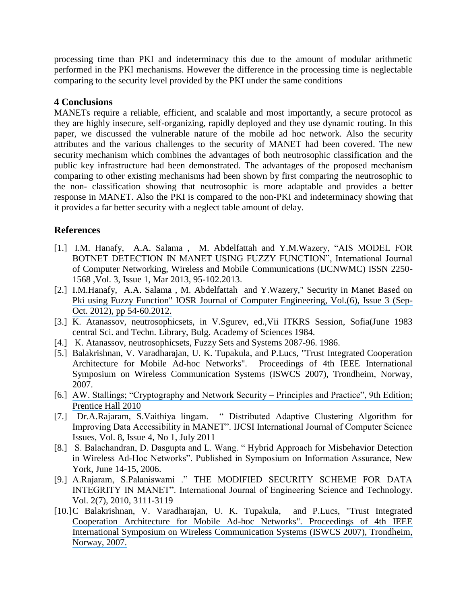processing time than PKI and indeterminacy this due to the amount of modular arithmetic performed in the PKI mechanisms. However the difference in the processing time is neglectable comparing to the security level provided by the PKI under the same conditions

# **4 Conclusions**

MANETs require a reliable, efficient, and scalable and most importantly, a secure protocol as they are highly insecure, self-organizing, rapidly deployed and they use dynamic routing. In this paper, we discussed the vulnerable nature of the mobile ad hoc network. Also the security attributes and the various challenges to the security of MANET had been covered. The new security mechanism which combines the advantages of both neutrosophic classification and the public key infrastructure had been demonstrated. The advantages of the proposed mechanism comparing to other existing mechanisms had been shown by first comparing the neutrosophic to the non- classification showing that neutrosophic is more adaptable and provides a better response in MANET. Also the PKI is compared to the non-PKI and indeterminacy showing that it provides a far better security with a neglect table amount of delay.

# **References**

- [1.] I.M. Hanafy, A.A. Salama, M. Abdelfattah and Y.M.Wazery, "AIS MODEL FOR BOTNET DETECTION IN MANET USING FUZZY FUNCTION", International Journal of Computer Networking, Wireless and Mobile Communications (IJCNWMC) ISSN 2250- 1568 ,Vol. 3, Issue 1, Mar 2013, 95-102.2013.
- [2.] [I.M.Hanafy, A.A. Salama , M. Abdelfattah and Y.Wazery," Security in Manet Based on](https://www.researchgate.net/publication/272719900_Security_in_MANET_based_on_PKI_using_fuzzy_function?el=1_x_8&enrichId=rgreq-75a527b72c5892e66cbee1a2beee8bfe-XXX&enrichSource=Y292ZXJQYWdlOzI4NDAyODIxODtBUzoyOTY3NDk5MzY3MjYwMTlAMTQ0Nzc2MjEwNjg4OQ==)  [Pki using Fuzzy Function" IOSR Journal of Computer Engineering, Vol.\(6\), Issue 3 \(Sep-](https://www.researchgate.net/publication/272719900_Security_in_MANET_based_on_PKI_using_fuzzy_function?el=1_x_8&enrichId=rgreq-75a527b72c5892e66cbee1a2beee8bfe-XXX&enrichSource=Y292ZXJQYWdlOzI4NDAyODIxODtBUzoyOTY3NDk5MzY3MjYwMTlAMTQ0Nzc2MjEwNjg4OQ==)[Oct. 2012\), pp 54-60.2012.](https://www.researchgate.net/publication/272719900_Security_in_MANET_based_on_PKI_using_fuzzy_function?el=1_x_8&enrichId=rgreq-75a527b72c5892e66cbee1a2beee8bfe-XXX&enrichSource=Y292ZXJQYWdlOzI4NDAyODIxODtBUzoyOTY3NDk5MzY3MjYwMTlAMTQ0Nzc2MjEwNjg4OQ==)
- [3.] K. Atanassov, neutrosophicsets, in V.Sgurev, ed.,Vii ITKRS Session, Sofia(June 1983 central Sci. and Techn. Library, Bulg. Academy of Sciences 1984.
- [4.] K. Atanassov, neutrosophicsets, Fuzzy Sets and Systems 2087-96. 1986.
- [5.] Balakrishnan, V. Varadharajan, U. K. Tupakula, and P.Lucs, "Trust Integrated Cooperation Architecture for Mobile Ad-hoc Networks". Proceedings of 4th IEEE International Symposium on Wireless Communication Systems (ISWCS 2007), Trondheim, Norway, 2007.
- [6.] AW. Stallings; "Cryptography and Network Security Principles and Practice", 9th Edition; [Prentice Hall 2010](https://www.researchgate.net/publication/247931318_Cryptography_and_Network_Security_Principles_and_Practice_4E?el=1_x_8&enrichId=rgreq-75a527b72c5892e66cbee1a2beee8bfe-XXX&enrichSource=Y292ZXJQYWdlOzI4NDAyODIxODtBUzoyOTY3NDk5MzY3MjYwMTlAMTQ0Nzc2MjEwNjg4OQ==)
- [7.] Dr.A.Rajaram, S.Vaithiya lingam. 
... Distributed Adaptive Clustering Algorithm for Improving Data Accessibility in MANET". IJCSI International Journal of Computer Science Issues, Vol. 8, Issue 4, No 1, July 2011
- [8.] S. Balachandran, D. Dasgupta and L. Wang. "Hybrid Approach for Misbehavior Detection in Wireless Ad-Hoc Networks". Published in Symposium on Information Assurance, New York, June 14-15, 2006.
- [9.] A.Rajaram, S.Palaniswami ." THE MODIFIED SECURITY SCHEME FOR DATA INTEGRITY IN MANET". International Journal of Engineering Science and Technology. Vol. 2(7), 2010, 3111-3119
- [10.][C Balakrishnan, V. Varadharajan, U. K. Tupakula, and P.Lucs, "Trust Integrated](https://www.researchgate.net/publication/4295402_Trust_Integrated_Cooperation_Architecture_for_Mobile_Ad-hoc_Networks?el=1_x_8&enrichId=rgreq-75a527b72c5892e66cbee1a2beee8bfe-XXX&enrichSource=Y292ZXJQYWdlOzI4NDAyODIxODtBUzoyOTY3NDk5MzY3MjYwMTlAMTQ0Nzc2MjEwNjg4OQ==)  [Cooperation Architecture for Mobile Ad-hoc Networks". Proceedings of 4th IEEE](https://www.researchgate.net/publication/4295402_Trust_Integrated_Cooperation_Architecture_for_Mobile_Ad-hoc_Networks?el=1_x_8&enrichId=rgreq-75a527b72c5892e66cbee1a2beee8bfe-XXX&enrichSource=Y292ZXJQYWdlOzI4NDAyODIxODtBUzoyOTY3NDk5MzY3MjYwMTlAMTQ0Nzc2MjEwNjg4OQ==) [International Symposium on Wireless Communication](https://www.researchgate.net/publication/4295402_Trust_Integrated_Cooperation_Architecture_for_Mobile_Ad-hoc_Networks?el=1_x_8&enrichId=rgreq-75a527b72c5892e66cbee1a2beee8bfe-XXX&enrichSource=Y292ZXJQYWdlOzI4NDAyODIxODtBUzoyOTY3NDk5MzY3MjYwMTlAMTQ0Nzc2MjEwNjg4OQ==) Systems (ISWCS 2007), Trondheim, [Norway, 2007.](https://www.researchgate.net/publication/4295402_Trust_Integrated_Cooperation_Architecture_for_Mobile_Ad-hoc_Networks?el=1_x_8&enrichId=rgreq-75a527b72c5892e66cbee1a2beee8bfe-XXX&enrichSource=Y292ZXJQYWdlOzI4NDAyODIxODtBUzoyOTY3NDk5MzY3MjYwMTlAMTQ0Nzc2MjEwNjg4OQ==)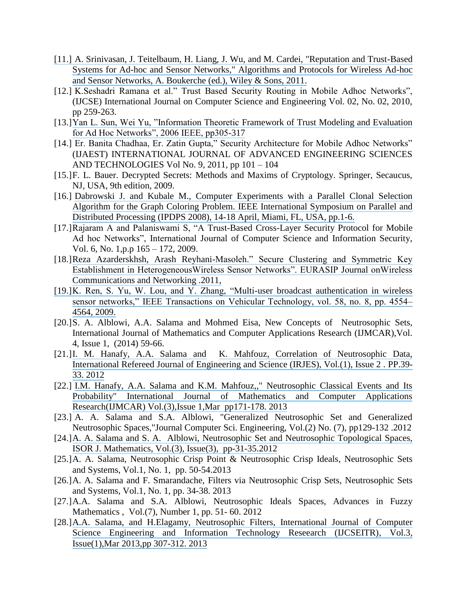- [11.] [A. Srinivasan, J. Teitelbaum, H. Liang, J. Wu, and M. Cardei, "Reputation and Trust-Based](https://www.researchgate.net/publication/228638653_Reputation_and_trust-based_systems_for_ad_hoc_and_sensor_networks?el=1_x_8&enrichId=rgreq-75a527b72c5892e66cbee1a2beee8bfe-XXX&enrichSource=Y292ZXJQYWdlOzI4NDAyODIxODtBUzoyOTY3NDk5MzY3MjYwMTlAMTQ0Nzc2MjEwNjg4OQ==) [Systems for Ad-hoc and Sensor Networks," Algorithms and Protocols for Wireless Ad-hoc](https://www.researchgate.net/publication/228638653_Reputation_and_trust-based_systems_for_ad_hoc_and_sensor_networks?el=1_x_8&enrichId=rgreq-75a527b72c5892e66cbee1a2beee8bfe-XXX&enrichSource=Y292ZXJQYWdlOzI4NDAyODIxODtBUzoyOTY3NDk5MzY3MjYwMTlAMTQ0Nzc2MjEwNjg4OQ==) [and Sensor Networks, A. Boukerche \(ed.\), Wiley & Sons, 2011.](https://www.researchgate.net/publication/228638653_Reputation_and_trust-based_systems_for_ad_hoc_and_sensor_networks?el=1_x_8&enrichId=rgreq-75a527b72c5892e66cbee1a2beee8bfe-XXX&enrichSource=Y292ZXJQYWdlOzI4NDAyODIxODtBUzoyOTY3NDk5MzY3MjYwMTlAMTQ0Nzc2MjEwNjg4OQ==)
- [12.] K.Seshadri Ramana et al." Trust Based Security Routing in Mobile Adhoc Networks", (IJCSE) International Journal on Computer Science and Engineering Vol. 02, No. 02, 2010, pp 259-263.
- [13.] Yan L. Sun, Wei Yu, "Information Theoretic [Framework of Trust Modeling and Evaluation](https://www.researchgate.net/publication/220640612_Information_Theoretic_Framework_of_Trust_modeling_and_evaluation_for_ad_hoc_networks?el=1_x_8&enrichId=rgreq-75a527b72c5892e66cbee1a2beee8bfe-XXX&enrichSource=Y292ZXJQYWdlOzI4NDAyODIxODtBUzoyOTY3NDk5MzY3MjYwMTlAMTQ0Nzc2MjEwNjg4OQ==) for Ad Hoc Networks", 2006 IEEE, pp305-317
- [14.] Er. Banita Chadhaa, Er. Zatin Gupta," Security Architecture for Mobile Adhoc Networks" (IJAEST) INTERNATIONAL JOURNAL OF ADVANCED ENGINEERING SCIENCES AND TECHNOLOGIES Vol No. 9, 2011, pp 101 – 104
- [15.]F. L. Bauer. Decrypted Secrets: Methods and Maxims of Cryptology. Springer, Secaucus, NJ, USA, 9th edition, 2009.
- [16.] Dabrowski J. and Kubale M., Computer Experiments with a Parallel Clonal Selection [Algorithm for the Graph Coloring Problem. IEEE International Symposium on Parallel and](https://www.researchgate.net/publication/224316883_Computer_experiments_with_a_parallel_clonal_selection_algorithm_for_the_Graph_Coloring_Problem?el=1_x_8&enrichId=rgreq-75a527b72c5892e66cbee1a2beee8bfe-XXX&enrichSource=Y292ZXJQYWdlOzI4NDAyODIxODtBUzoyOTY3NDk5MzY3MjYwMTlAMTQ0Nzc2MjEwNjg4OQ==)  [Distributed Processing \(IPDPS 2008\), 14-18 April, Miami, FL, USA, pp.1-6.](https://www.researchgate.net/publication/224316883_Computer_experiments_with_a_parallel_clonal_selection_algorithm_for_the_Graph_Coloring_Problem?el=1_x_8&enrichId=rgreq-75a527b72c5892e66cbee1a2beee8bfe-XXX&enrichSource=Y292ZXJQYWdlOzI4NDAyODIxODtBUzoyOTY3NDk5MzY3MjYwMTlAMTQ0Nzc2MjEwNjg4OQ==)
- [17.]Rajaram A and Palaniswami S, "A Trust-Based Cross-Layer Security Protocol for Mobile Ad hoc Networks", International Journal of Computer Science and Information Security, Vol. 6, No. 1,p.p 165 – 172, 2009.
- [18.]Reza Azarderskhsh, Arash Reyhani-Masoleh." Secure Clustering and Symmetric Key Establishment in Heterogeneous Wireless Sensor Networks". EURASIP Journal on Wireless [Communications and Networking .2011,](https://www.researchgate.net/publication/50282870_Secure_Clustering_and_Symmetric_Key_Establishment_in_Heterogeneous_Wireless_Sensor_Networks?el=1_x_8&enrichId=rgreq-75a527b72c5892e66cbee1a2beee8bfe-XXX&enrichSource=Y292ZXJQYWdlOzI4NDAyODIxODtBUzoyOTY3NDk5MzY3MjYwMTlAMTQ0Nzc2MjEwNjg4OQ==)
- [19.]K. Ren, S. Yu, W. Lou, and Y. Zhang, "Multi-user broadcast authentication in wireless sensor networks," IEEE Transactions on Vehicular Technology, vol. 58, no. 8, pp. 4554– [4564, 2009.](https://www.researchgate.net/publication/50282870_Secure_Clustering_and_Symmetric_Key_Establishment_in_Heterogeneous_Wireless_Sensor_Networks?el=1_x_8&enrichId=rgreq-75a527b72c5892e66cbee1a2beee8bfe-XXX&enrichSource=Y292ZXJQYWdlOzI4NDAyODIxODtBUzoyOTY3NDk5MzY3MjYwMTlAMTQ0Nzc2MjEwNjg4OQ==)
- [20.]S. A. Alblowi, A.A. Salama and Mohmed Eisa, New Concepts of Neutrosophic Sets, International Journal of Mathematics and Computer Applications Research (IJMCAR),Vol. 4, Issue 1, (2014) 59-66.
- [21.][I. M. Hanafy, A.A. Salama and K. Mahfouz, Correlation of Neutrosophic Data,](https://www.researchgate.net/publication/282133991_Correlation_of_Neutrosophic_Data?el=1_x_8&enrichId=rgreq-75a527b72c5892e66cbee1a2beee8bfe-XXX&enrichSource=Y292ZXJQYWdlOzI4NDAyODIxODtBUzoyOTY3NDk5MzY3MjYwMTlAMTQ0Nzc2MjEwNjg4OQ==)  [International Refereed Journal of Engineering and Science \(IRJES\), Vol.\(1\), Issue 2 .](https://www.researchgate.net/publication/282133991_Correlation_of_Neutrosophic_Data?el=1_x_8&enrichId=rgreq-75a527b72c5892e66cbee1a2beee8bfe-XXX&enrichSource=Y292ZXJQYWdlOzI4NDAyODIxODtBUzoyOTY3NDk5MzY3MjYwMTlAMTQ0Nzc2MjEwNjg4OQ==) PP.39- [33. 2012](https://www.researchgate.net/publication/282133991_Correlation_of_Neutrosophic_Data?el=1_x_8&enrichId=rgreq-75a527b72c5892e66cbee1a2beee8bfe-XXX&enrichSource=Y292ZXJQYWdlOzI4NDAyODIxODtBUzoyOTY3NDk5MzY3MjYwMTlAMTQ0Nzc2MjEwNjg4OQ==)
- [22.] [I.M. Hanafy, A.A. Salama and K.M. Mahfouz,," Neutrosophic Classical Events and Its](https://www.researchgate.net/publication/235956777_NEUTERSOPHIC_CLASSICAL_EVENTS_AND_ITS_PROBABILITY?el=1_x_8&enrichId=rgreq-75a527b72c5892e66cbee1a2beee8bfe-XXX&enrichSource=Y292ZXJQYWdlOzI4NDAyODIxODtBUzoyOTY3NDk5MzY3MjYwMTlAMTQ0Nzc2MjEwNjg4OQ==)  [Probability" International Journal of Mathematics and Computer Applications](https://www.researchgate.net/publication/235956777_NEUTERSOPHIC_CLASSICAL_EVENTS_AND_ITS_PROBABILITY?el=1_x_8&enrichId=rgreq-75a527b72c5892e66cbee1a2beee8bfe-XXX&enrichSource=Y292ZXJQYWdlOzI4NDAyODIxODtBUzoyOTY3NDk5MzY3MjYwMTlAMTQ0Nzc2MjEwNjg4OQ==)  [Research\(IJMCAR\) Vol.\(3\),Issue 1,Mar pp171-178.](https://www.researchgate.net/publication/235956777_NEUTERSOPHIC_CLASSICAL_EVENTS_AND_ITS_PROBABILITY?el=1_x_8&enrichId=rgreq-75a527b72c5892e66cbee1a2beee8bfe-XXX&enrichSource=Y292ZXJQYWdlOzI4NDAyODIxODtBUzoyOTY3NDk5MzY3MjYwMTlAMTQ0Nzc2MjEwNjg4OQ==) 2013
- [23.] A. A. Salama and S.A. Alblowi, "Generalized Neutrosophic Set and Generalized Neutrosophic Spaces,"Journal Computer Sci. Engineering, Vol.(2) No. (7), pp129-132 .2012
- [24.][A. A. Salama and S. A. Alblowi, Neutrosophic Set and Neutrosophic Topological Spaces,](https://www.researchgate.net/publication/265802778_Neutrosophic_Set_and_Neutrosophic_Topological_Spaces?el=1_x_8&enrichId=rgreq-75a527b72c5892e66cbee1a2beee8bfe-XXX&enrichSource=Y292ZXJQYWdlOzI4NDAyODIxODtBUzoyOTY3NDk5MzY3MjYwMTlAMTQ0Nzc2MjEwNjg4OQ==) [ISOR J. Mathematics, Vol.\(3\), Issue\(3\), pp-31-35.2012](https://www.researchgate.net/publication/265802778_Neutrosophic_Set_and_Neutrosophic_Topological_Spaces?el=1_x_8&enrichId=rgreq-75a527b72c5892e66cbee1a2beee8bfe-XXX&enrichSource=Y292ZXJQYWdlOzI4NDAyODIxODtBUzoyOTY3NDk5MzY3MjYwMTlAMTQ0Nzc2MjEwNjg4OQ==)
- [25.]A. A. Salama, Neutrosophic Crisp Point & Neutrosophic Crisp Ideals, Neutrosophic Sets and Systems, Vol.1, No. 1, pp. 50-54.2013
- [26.]A. A. Salama and F. Smarandache, Filters via Neutrosophic Crisp Sets, Neutrosophic Sets and Systems, Vol.1, No. 1, pp. 34-38. 2013
- [27.]A.A. Salama and S.A. Alblowi, Neutrosophic Ideals Spaces, Advances in Fuzzy Mathematics , Vol.(7), Number 1, pp. 51- 60. 2012
- [28.][A.A. Salama, and H.Elagamy, Neutrosophic Filters, International Journal of Computer](https://www.researchgate.net/publication/235950452_NEUTROSOPHIC_FILTERS?el=1_x_8&enrichId=rgreq-75a527b72c5892e66cbee1a2beee8bfe-XXX&enrichSource=Y292ZXJQYWdlOzI4NDAyODIxODtBUzoyOTY3NDk5MzY3MjYwMTlAMTQ0Nzc2MjEwNjg4OQ==) [Science Engineering and Information Technology Reseearch \(IJCSEITR\), Vol.3,](https://www.researchgate.net/publication/235950452_NEUTROSOPHIC_FILTERS?el=1_x_8&enrichId=rgreq-75a527b72c5892e66cbee1a2beee8bfe-XXX&enrichSource=Y292ZXJQYWdlOzI4NDAyODIxODtBUzoyOTY3NDk5MzY3MjYwMTlAMTQ0Nzc2MjEwNjg4OQ==) [Issue\(1\),Mar 2013,pp 307-312.](https://www.researchgate.net/publication/235950452_NEUTROSOPHIC_FILTERS?el=1_x_8&enrichId=rgreq-75a527b72c5892e66cbee1a2beee8bfe-XXX&enrichSource=Y292ZXJQYWdlOzI4NDAyODIxODtBUzoyOTY3NDk5MzY3MjYwMTlAMTQ0Nzc2MjEwNjg4OQ==) 2013